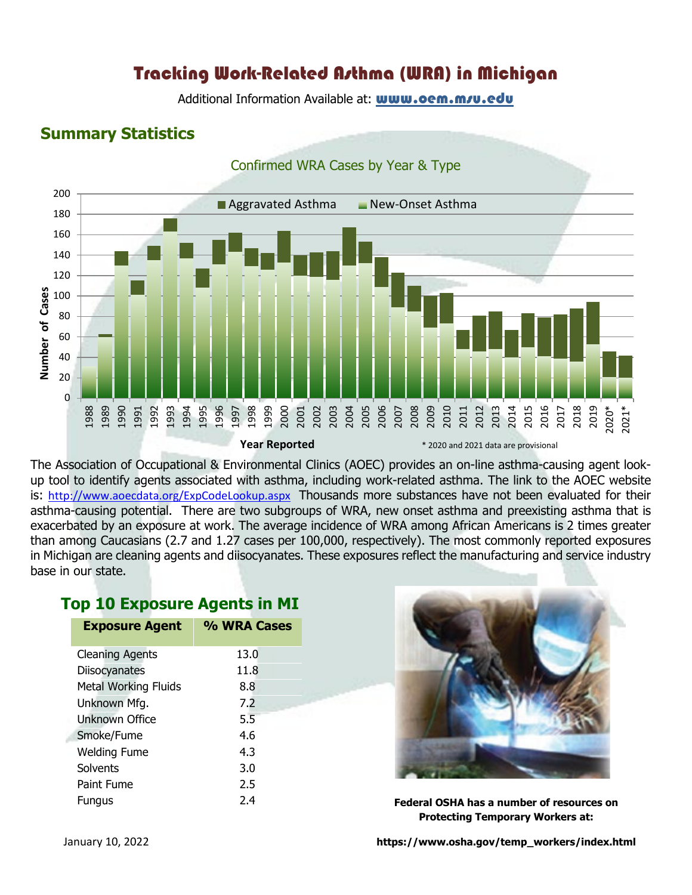# Tracking Work-Related Asthma (WRA) in Michigan

Additional Information Available at: **[www.oem.msu.edu](http://www.oem.msu.edu/)** 

#### **Summary Statistics**



The Association of Occupational & Environmental Clinics (AOEC) provides an on-line asthma-causing agent lookup tool to identify agents associated with asthma, including work-related asthma. The link to the AOEC website is: <http://www.aoecdata.org/ExpCodeLookup.aspx> Thousands more substances have not been evaluated for their asthma-causing potential. There are two subgroups of WRA, new onset asthma and preexisting asthma that is exacerbated by an exposure at work. The average incidence of WRA among African Americans is 2 times greater than among Caucasians (2.7 and 1.27 cases per 100,000, respectively). The most commonly reported exposures in Michigan are cleaning agents and diisocyanates. These exposures reflect the manufacturing and service industry base in our state.

### **Top 10 Exposure Agents in MI**

| <b>Exposure Agent</b>       | % WRA Cases |
|-----------------------------|-------------|
| <b>Cleaning Agents</b>      | 13.0        |
| Diisocyanates               | 11.8        |
| <b>Metal Working Fluids</b> | 8.8         |
| Unknown Mfg.                | 7.2         |
| <b>Unknown Office</b>       | 5.5         |
| Smoke/Fume                  | 4.6         |
| <b>Welding Fume</b>         | 4.3         |
| Solvents                    | 3.0         |
| Paint Fume                  | 2.5         |
| <b>Fungus</b>               | 2.4         |



**Federal OSHA has a number of resources on Protecting Temporary Workers at:**